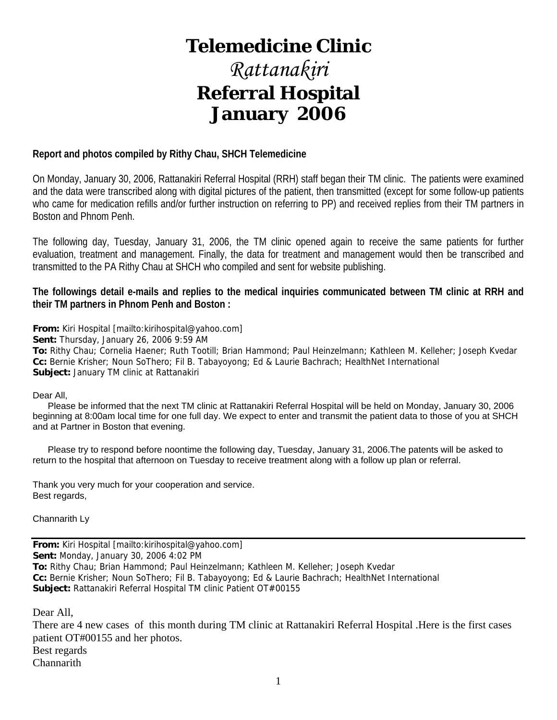## **Telemedicine Clinic**

## *Rattanakiri*  **Referral Hospital January 2006**

### **Report and photos compiled by Rithy Chau, SHCH Telemedicine**

On Monday, January 30, 2006, Rattanakiri Referral Hospital (RRH) staff began their TM clinic. The patients were examined and the data were transcribed along with digital pictures of the patient, then transmitted (except for some follow-up patients who came for medication refills and/or further instruction on referring to PP) and received replies from their TM partners in Boston and Phnom Penh.

The following day, Tuesday, January 31, 2006, the TM clinic opened again to receive the same patients for further evaluation, treatment and management. Finally, the data for treatment and management would then be transcribed and transmitted to the PA Rithy Chau at SHCH who compiled and sent for website publishing.

**The followings detail e-mails and replies to the medical inquiries communicated between TM clinic at RRH and their TM partners in Phnom Penh and Boston :** 

**From:** Kiri Hospital [mailto:kirihospital@yahoo.com]

**Sent:** Thursday, January 26, 2006 9:59 AM

**To:** Rithy Chau; Cornelia Haener; Ruth Tootill; Brian Hammond; Paul Heinzelmann; Kathleen M. Kelleher; Joseph Kvedar **Cc:** Bernie Krisher; Noun SoThero; Fil B. Tabayoyong; Ed & Laurie Bachrach; HealthNet International **Subject:** January TM clinic at Rattanakiri

### Dear All,

 Please be informed that the next TM clinic at Rattanakiri Referral Hospital will be held on Monday, January 30, 2006 beginning at 8:00am local time for one full day. We expect to enter and transmit the patient data to those of you at SHCH and at Partner in Boston that evening.

 Please try to respond before noontime the following day, Tuesday, January 31, 2006.The patents will be asked to return to the hospital that afternoon on Tuesday to receive treatment along with a follow up plan or referral.

Thank you very much for your cooperation and service. Best regards,

Channarith Ly

**From:** Kiri Hospital [mailto:kirihospital@yahoo.com] **Sent:** Monday, January 30, 2006 4:02 PM **To:** Rithy Chau; Brian Hammond; Paul Heinzelmann; Kathleen M. Kelleher; Joseph Kvedar **Cc:** Bernie Krisher; Noun SoThero; Fil B. Tabayoyong; Ed & Laurie Bachrach; HealthNet International **Subject:** Rattanakiri Referral Hospital TM clinic Patient OT#00155

Dear All,

There are 4 new cases of this month during TM clinic at Rattanakiri Referral Hospital .Here is the first cases patient OT#00155 and her photos. Best regards Channarith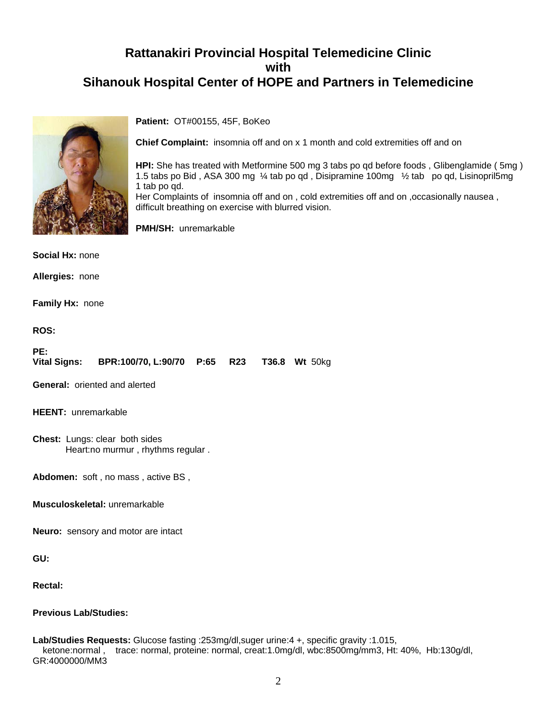

**Patient:** OT#00155, 45F, BoKeo

**Chief Complaint:** insomnia off and on x 1 month and cold extremities off and on

**HPI:** She has treated with Metformine 500 mg 3 tabs po qd before foods , Glibenglamide ( 5mg ) 1.5 tabs po Bid , ASA 300 mg ¼ tab po qd , Disipramine 100mg ½ tab po qd, Lisinopril5mg 1 tab po qd.

Her Complaints of insomnia off and on , cold extremities off and on ,occasionally nausea , difficult breathing on exercise with blurred vision.

**PMH/SH:** unremarkable

**Social Hx:** none

**Allergies:** none

**Family Hx:** none

**ROS:**

| PE: |                                                         |  |  |
|-----|---------------------------------------------------------|--|--|
|     | Vital Signs: BPR:100/70, L:90/70 P:65 R23 T36.8 Wt 50kg |  |  |

**General:** oriented and alerted

**HEENT:** unremarkable

**Chest:** Lungs: clear both sides Heart:no murmur , rhythms regular .

**Abdomen:** soft , no mass , active BS ,

**Musculoskeletal:** unremarkable

**Neuro:** sensory and motor are intact

**GU:**

**Rectal:**

### **Previous Lab/Studies:**

#### **Lab/Studies Requests:** Glucose fasting :253mg/dl,suger urine:4 +, specific gravity :1.015, ketone:normal , trace: normal, proteine: normal, creat:1.0mg/dl, wbc:8500mg/mm3, Ht: 40%, Hb:130g/dl, GR:4000000/MM3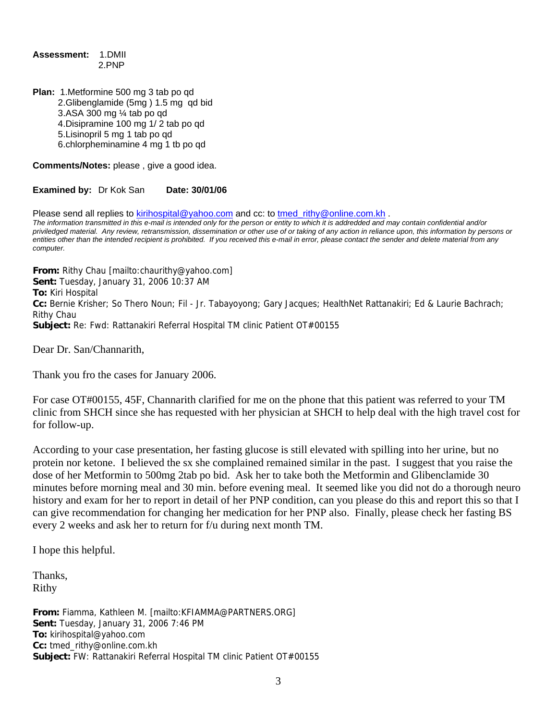**Assessment:** 1.DMII 2.PNP

**Plan:** 1.Metformine 500 mg 3 tab po qd 2.Glibenglamide (5mg ) 1.5 mg qd bid 3.ASA 300 mg ¼ tab po qd 4.Disipramine 100 mg 1/ 2 tab po qd 5.Lisinopril 5 mg 1 tab po qd 6.chlorpheminamine 4 mg 1 tb po qd

**Comments/Notes:** please , give a good idea.

**Examined by:** Dr Kok San **Date: 30/01/06**

Please send all replies to [kirihospital@yahoo.com](mailto:kirihospital@yahoo.com) and cc: to tmed rithy@online.com.kh .

*The information transmitted in this e-mail is intended only for the person or entity to which it is addredded and may contain confidential and/or priviledged material. Any review, retransmission, dissemination or other use of or taking of any action in reliance upon, this information by persons or entities other than the intended recipient is prohibited. If you received this e-mail in error, please contact the sender and delete material from any computer.*

**From:** Rithy Chau [mailto:chaurithy@yahoo.com] **Sent:** Tuesday, January 31, 2006 10:37 AM **To:** Kiri Hospital **Cc:** Bernie Krisher; So Thero Noun; Fil - Jr. Tabayoyong; Gary Jacques; HealthNet Rattanakiri; Ed & Laurie Bachrach; Rithy Chau **Subject:** Re: Fwd: Rattanakiri Referral Hospital TM clinic Patient OT#00155

Dear Dr. San/Channarith,

Thank you fro the cases for January 2006.

For case OT#00155, 45F, Channarith clarified for me on the phone that this patient was referred to your TM clinic from SHCH since she has requested with her physician at SHCH to help deal with the high travel cost for for follow-up.

According to your case presentation, her fasting glucose is still elevated with spilling into her urine, but no protein nor ketone. I believed the sx she complained remained similar in the past. I suggest that you raise the dose of her Metformin to 500mg 2tab po bid. Ask her to take both the Metformin and Glibenclamide 30 minutes before morning meal and 30 min. before evening meal. It seemed like you did not do a thorough neuro history and exam for her to report in detail of her PNP condition, can you please do this and report this so that I can give recommendation for changing her medication for her PNP also. Finally, please check her fasting BS every 2 weeks and ask her to return for f/u during next month TM.

I hope this helpful.

Thanks, Rithy

**From:** Fiamma, Kathleen M. [mailto:KFIAMMA@PARTNERS.ORG] **Sent:** Tuesday, January 31, 2006 7:46 PM **To:** kirihospital@yahoo.com **Cc:** tmed\_rithy@online.com.kh **Subject:** FW: Rattanakiri Referral Hospital TM clinic Patient OT#00155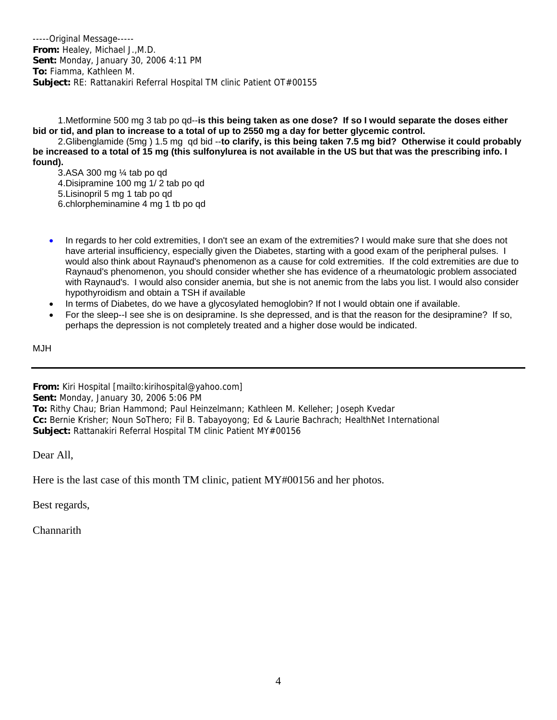-----Original Message----- **From:** Healey, Michael J.,M.D. **Sent:** Monday, January 30, 2006 4:11 PM **To:** Fiamma, Kathleen M. **Subject:** RE: Rattanakiri Referral Hospital TM clinic Patient OT#00155

 1.Metformine 500 mg 3 tab po qd--**is this being taken as one dose? If so I would separate the doses either bid or tid, and plan to increase to a total of up to 2550 mg a day for better glycemic control.**

 2.Glibenglamide (5mg ) 1.5 mg qd bid --**to clarify, is this being taken 7.5 mg bid? Otherwise it could probably be increased to a total of 15 mg (this sulfonylurea is not available in the US but that was the prescribing info. I found).** 

 3.ASA 300 mg ¼ tab po qd 4.Disipramine 100 mg 1/ 2 tab po qd 5.Lisinopril 5 mg 1 tab po qd 6.chlorpheminamine 4 mg 1 tb po qd

- In regards to her cold extremities, I don't see an exam of the extremities? I would make sure that she does not have arterial insufficiency, especially given the Diabetes, starting with a good exam of the peripheral pulses. I would also think about Raynaud's phenomenon as a cause for cold extremities. If the cold extremities are due to Raynaud's phenomenon, you should consider whether she has evidence of a rheumatologic problem associated with Raynaud's. I would also consider anemia, but she is not anemic from the labs you list. I would also consider hypothyroidism and obtain a TSH if available
- In terms of Diabetes, do we have a glycosylated hemoglobin? If not I would obtain one if available.
- For the sleep--I see she is on desipramine. Is she depressed, and is that the reason for the desipramine? If so, perhaps the depression is not completely treated and a higher dose would be indicated.

MJH

**From:** Kiri Hospital [mailto:kirihospital@yahoo.com] **Sent:** Monday, January 30, 2006 5:06 PM **To:** Rithy Chau; Brian Hammond; Paul Heinzelmann; Kathleen M. Kelleher; Joseph Kvedar **Cc:** Bernie Krisher; Noun SoThero; Fil B. Tabayoyong; Ed & Laurie Bachrach; HealthNet International **Subject:** Rattanakiri Referral Hospital TM clinic Patient MY#00156

Dear All,

Here is the last case of this month TM clinic, patient MY#00156 and her photos.

Best regards,

**Channarith**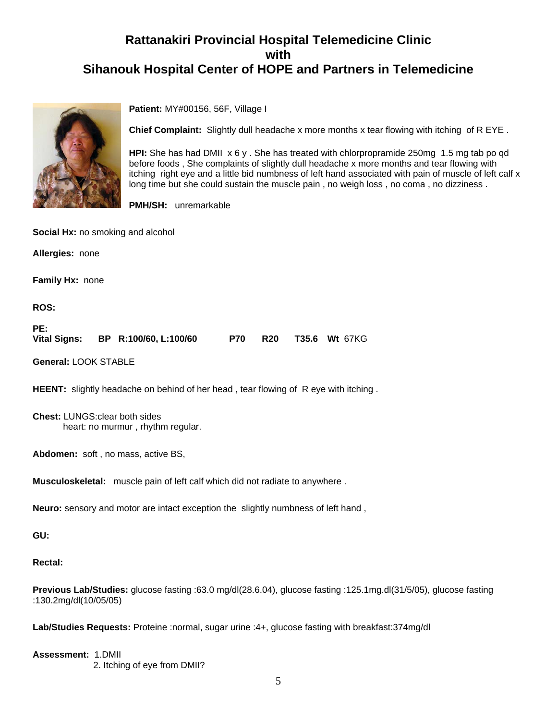

**Patient:** MY#00156, 56F, Village I

**Chief Complaint:** Slightly dull headache x more months x tear flowing with itching of R EYE .

**HPI:** She has had DMII x 6 y . She has treated with chlorpropramide 250mg 1.5 mg tab po qd before foods , She complaints of slightly dull headache x more months and tear flowing with itching right eye and a little bid numbness of left hand associated with pain of muscle of left calf x long time but she could sustain the muscle pain , no weigh loss , no coma , no dizziness .

**PMH/SH:** unremarkable

**Social Hx:** no smoking and alcohol

**Allergies:** none

**Family Hx:** none

**ROS:**

| PE:          |                       |  |                              |
|--------------|-----------------------|--|------------------------------|
| Vital Signs: | BP R:100/60, L:100/60 |  | <b>P70 R20 T35.6 Wt 67KG</b> |

**General:** LOOK STABLE

**HEENT:** slightly headache on behind of her head, tear flowing of R eye with itching.

**Chest:** LUNGS:clear both sides heart: no murmur , rhythm regular.

**Abdomen:** soft , no mass, active BS,

**Musculoskeletal:** muscle pain of left calf which did not radiate to anywhere .

**Neuro:** sensory and motor are intact exception the slightly numbness of left hand ,

**GU:**

**Rectal:**

**Previous Lab/Studies:** glucose fasting :63.0 mg/dl(28.6.04), glucose fasting :125.1mg.dl(31/5/05), glucose fasting :130.2mg/dl(10/05/05)

**Lab/Studies Requests:** Proteine :normal, sugar urine :4+, glucose fasting with breakfast:374mg/dl

**Assessment:** 1.DMII 2. Itching of eye from DMII?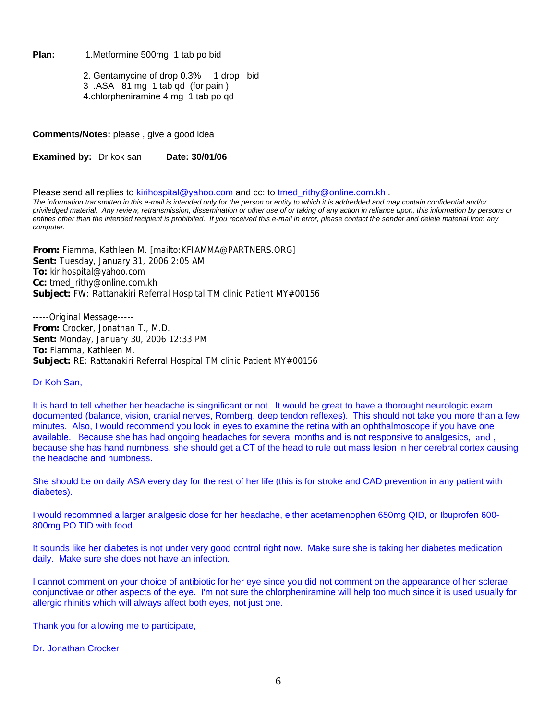Plan: 1.Metformine 500mg 1 tab po bid

 2. Gentamycine of drop 0.3% 1 drop bid 3 .ASA 81 mg 1 tab qd (for pain ) 4.chlorpheniramine 4 mg 1 tab po qd

**Comments/Notes:** please , give a good idea

**Examined by:** Dr kok san **Date: 30/01/06** 

Please send all replies to [kirihospital@yahoo.com](mailto:kirihospital@yahoo.com) and cc: to [tmed\\_rithy@online.com.kh](mailto:tmed_rithy@bigpond.com.kh) .

*The information transmitted in this e-mail is intended only for the person or entity to which it is addredded and may contain confidential and/or priviledged material. Any review, retransmission, dissemination or other use of or taking of any action in reliance upon, this information by persons or entities other than the intended recipient is prohibited. If you received this e-mail in error, please contact the sender and delete material from any computer.*

**From:** Fiamma, Kathleen M. [mailto:KFIAMMA@PARTNERS.ORG] **Sent:** Tuesday, January 31, 2006 2:05 AM **To:** kirihospital@yahoo.com **Cc:** tmed\_rithy@online.com.kh **Subject:** FW: Rattanakiri Referral Hospital TM clinic Patient MY#00156

-----Original Message----- **From:** Crocker, Jonathan T., M.D. **Sent:** Monday, January 30, 2006 12:33 PM **To:** Fiamma, Kathleen M. **Subject:** RE: Rattanakiri Referral Hospital TM clinic Patient MY#00156

### Dr Koh San,

It is hard to tell whether her headache is singnificant or not. It would be great to have a thorought neurologic exam documented (balance, vision, cranial nerves, Romberg, deep tendon reflexes). This should not take you more than a few minutes. Also, I would recommend you look in eyes to examine the retina with an ophthalmoscope if you have one available. Because she has had ongoing headaches for several months and is not responsive to analgesics, and , because she has hand numbness, she should get a CT of the head to rule out mass lesion in her cerebral cortex causing the headache and numbness.

She should be on daily ASA every day for the rest of her life (this is for stroke and CAD prevention in any patient with diabetes).

I would recommned a larger analgesic dose for her headache, either acetamenophen 650mg QID, or Ibuprofen 600- 800mg PO TID with food.

It sounds like her diabetes is not under very good control right now. Make sure she is taking her diabetes medication daily. Make sure she does not have an infection.

I cannot comment on your choice of antibiotic for her eye since you did not comment on the appearance of her sclerae, conjunctivae or other aspects of the eye. I'm not sure the chlorpheniramine will help too much since it is used usually for allergic rhinitis which will always affect both eyes, not just one.

Thank you for allowing me to participate,

Dr. Jonathan Crocker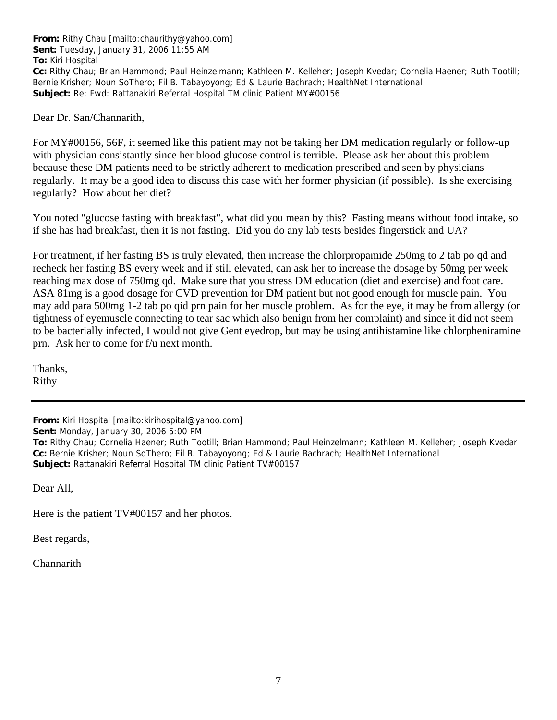**From:** Rithy Chau [mailto:chaurithy@yahoo.com] **Sent:** Tuesday, January 31, 2006 11:55 AM **To:** Kiri Hospital **Cc:** Rithy Chau; Brian Hammond; Paul Heinzelmann; Kathleen M. Kelleher; Joseph Kvedar; Cornelia Haener; Ruth Tootill; Bernie Krisher; Noun SoThero; Fil B. Tabayoyong; Ed & Laurie Bachrach; HealthNet International **Subject:** Re: Fwd: Rattanakiri Referral Hospital TM clinic Patient MY#00156

Dear Dr. San/Channarith,

For MY#00156, 56F, it seemed like this patient may not be taking her DM medication regularly or follow-up with physician consistantly since her blood glucose control is terrible. Please ask her about this problem because these DM patients need to be strictly adherent to medication prescribed and seen by physicians regularly. It may be a good idea to discuss this case with her former physician (if possible). Is she exercising regularly? How about her diet?

You noted "glucose fasting with breakfast", what did you mean by this? Fasting means without food intake, so if she has had breakfast, then it is not fasting. Did you do any lab tests besides fingerstick and UA?

For treatment, if her fasting BS is truly elevated, then increase the chlorpropamide 250mg to 2 tab po qd and recheck her fasting BS every week and if still elevated, can ask her to increase the dosage by 50mg per week reaching max dose of 750mg qd. Make sure that you stress DM education (diet and exercise) and foot care. ASA 81mg is a good dosage for CVD prevention for DM patient but not good enough for muscle pain. You may add para 500mg 1-2 tab po qid prn pain for her muscle problem. As for the eye, it may be from allergy (or tightness of eyemuscle connecting to tear sac which also benign from her complaint) and since it did not seem to be bacterially infected, I would not give Gent eyedrop, but may be using antihistamine like chlorpheniramine prn. Ask her to come for f/u next month.

Thanks, Rithy

**From:** Kiri Hospital [mailto:kirihospital@yahoo.com]

**Sent:** Monday, January 30, 2006 5:00 PM

**To:** Rithy Chau; Cornelia Haener; Ruth Tootill; Brian Hammond; Paul Heinzelmann; Kathleen M. Kelleher; Joseph Kvedar **Cc:** Bernie Krisher; Noun SoThero; Fil B. Tabayoyong; Ed & Laurie Bachrach; HealthNet International **Subject:** Rattanakiri Referral Hospital TM clinic Patient TV#00157

Dear All,

Here is the patient TV#00157 and her photos.

Best regards,

**Channarith**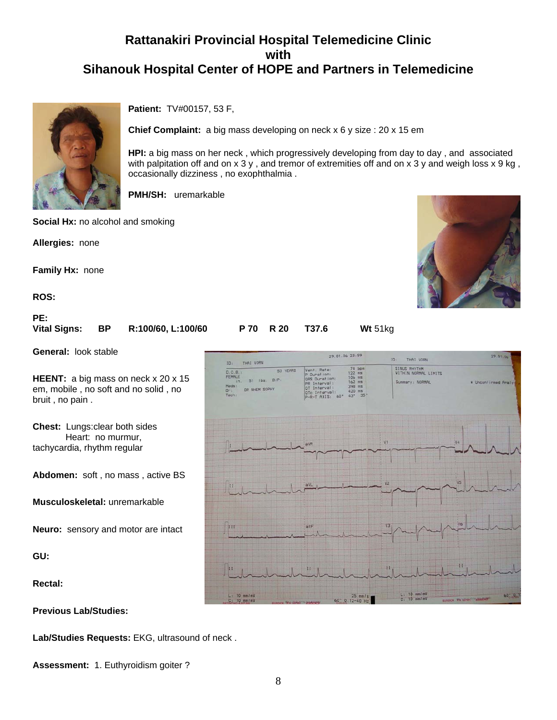

**Patient:** TV#00157, 53 F,

**Chief Complaint:** a big mass developing on neck x 6 y size : 20 x 15 em

**HPI:** a big mass on her neck , which progressively developing from day to day , and associated with palpitation off and on x 3 y, and tremor of extremities off and on x 3 y and weigh loss x 9 kg, occasionally dizziness , no exophthalmia .

**PMH/SH:** uremarkable

**Social Hx:** no alcohol and smoking

**Allergies:** none

**Family Hx:** none

**ROS:**

**PE: Vital Signs: BP R:100/60, L:100/60 P 70 R 20 T37.6 Wt** 51kg

**General:** look stable

**HEENT:** a big mass on neck x 20 x 15 em, mobile , no soft and no solid , no bruit , no pain .

**Chest:** Lungs:clear both sides Heart: no murmur, tachycardia, rhythm regular

**Abdomen:** soft , no mass , active BS

**Musculoskeletal:** unremarkable

**Neuro:** sensory and motor are intact

**GU:**

**Rectal:**

**Previous Lab/Studies:**

**Lab/Studies Requests:** EKG, ultrasound of neck .

**Assessment:** 1. Euthyroidism goiter ?

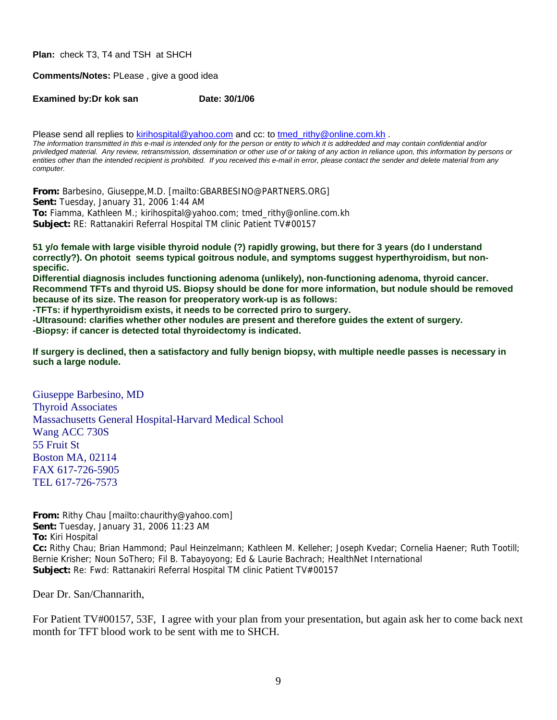**Plan:** check T3, T4 and TSH at SHCH

**Comments/Notes:** PLease , give a good idea

**Examined by:Dr kok san Date: 30/1/06** 

Please send all replies to [kirihospital@yahoo.com](mailto:kirihospital@yahoo.com) and cc: to [tmed\\_rithy@online.com.kh](mailto:tmed_rithy@bigpond.com.kh) . *The information transmitted in this e-mail is intended only for the person or entity to which it is addredded and may contain confidential and/or priviledged material. Any review, retransmission, dissemination or other use of or taking of any action in reliance upon, this information by persons or*  entities other than the intended recipient is prohibited. If you received this e-mail in error, please contact the sender and delete material from any *computer.*

**From:** Barbesino, Giuseppe,M.D. [mailto:GBARBESINO@PARTNERS.ORG] **Sent:** Tuesday, January 31, 2006 1:44 AM **To:** Fiamma, Kathleen M.; kirihospital@yahoo.com; tmed\_rithy@online.com.kh **Subject:** RE: Rattanakiri Referral Hospital TM clinic Patient TV#00157

**51 y/o female with large visible thyroid nodule (?) rapidly growing, but there for 3 years (do I understand correctly?). On photoit seems typical goitrous nodule, and symptoms suggest hyperthyroidism, but nonspecific.** 

**Differential diagnosis includes functioning adenoma (unlikely), non-functioning adenoma, thyroid cancer. Recommend TFTs and thyroid US. Biopsy should be done for more information, but nodule should be removed because of its size. The reason for preoperatory work-up is as follows:** 

**-TFTs: if hyperthyroidism exists, it needs to be corrected priro to surgery.** 

**-Ultrasound: clarifies whether other nodules are present and therefore guides the extent of surgery.** 

**-Biopsy: if cancer is detected total thyroidectomy is indicated.** 

**If surgery is declined, then a satisfactory and fully benign biopsy, with multiple needle passes is necessary in such a large nodule.** 

Giuseppe Barbesino, MD Thyroid Associates Massachusetts General Hospital-Harvard Medical School Wang ACC 730S 55 Fruit St Boston MA, 02114 FAX 617-726-5905 TEL 617-726-7573

**From:** Rithy Chau [mailto:chaurithy@yahoo.com] **Sent:** Tuesday, January 31, 2006 11:23 AM **To:** Kiri Hospital **Cc:** Rithy Chau; Brian Hammond; Paul Heinzelmann; Kathleen M. Kelleher; Joseph Kvedar; Cornelia Haener; Ruth Tootill; Bernie Krisher; Noun SoThero; Fil B. Tabayoyong; Ed & Laurie Bachrach; HealthNet International **Subject:** Re: Fwd: Rattanakiri Referral Hospital TM clinic Patient TV#00157

Dear Dr. San/Channarith,

For Patient TV#00157, 53F, I agree with your plan from your presentation, but again ask her to come back next month for TFT blood work to be sent with me to SHCH.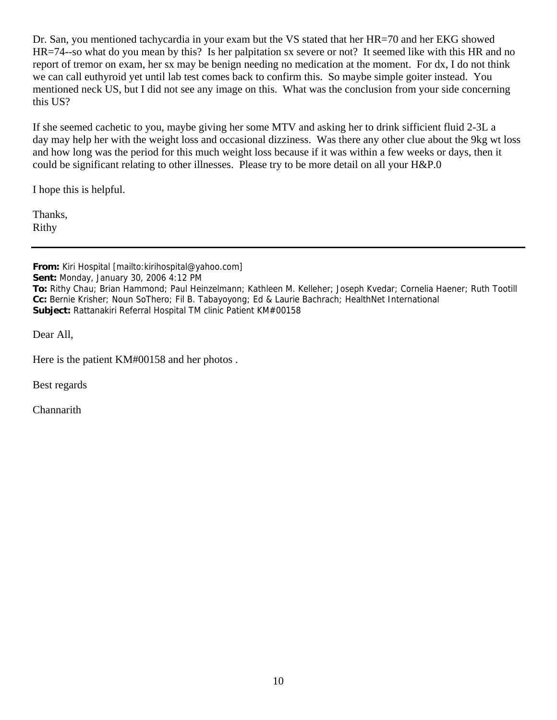Dr. San, you mentioned tachycardia in your exam but the VS stated that her HR=70 and her EKG showed HR=74--so what do you mean by this? Is her palpitation sx severe or not? It seemed like with this HR and no report of tremor on exam, her sx may be benign needing no medication at the moment. For dx, I do not think we can call euthyroid yet until lab test comes back to confirm this. So maybe simple goiter instead. You mentioned neck US, but I did not see any image on this. What was the conclusion from your side concerning this US?

If she seemed cachetic to you, maybe giving her some MTV and asking her to drink sifficient fluid 2-3L a day may help her with the weight loss and occasional dizziness. Was there any other clue about the 9kg wt loss and how long was the period for this much weight loss because if it was within a few weeks or days, then it could be significant relating to other illnesses. Please try to be more detail on all your H&P.0

I hope this is helpful.

Thanks, Rithy

**From:** Kiri Hospital [mailto:kirihospital@yahoo.com] **Sent:** Monday, January 30, 2006 4:12 PM **To:** Rithy Chau; Brian Hammond; Paul Heinzelmann; Kathleen M. Kelleher; Joseph Kvedar; Cornelia Haener; Ruth Tootill **Cc:** Bernie Krisher; Noun SoThero; Fil B. Tabayoyong; Ed & Laurie Bachrach; HealthNet International **Subject:** Rattanakiri Referral Hospital TM clinic Patient KM#00158

Dear All,

Here is the patient KM#00158 and her photos .

Best regards

**Channarith**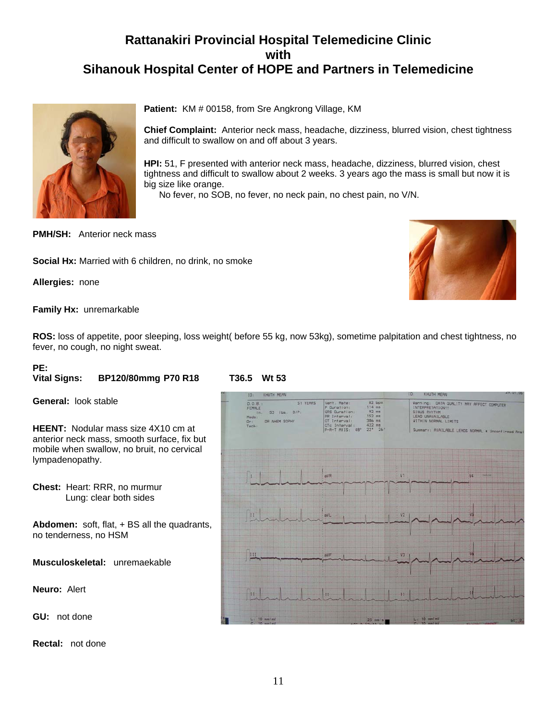

Patient: KM # 00158, from Sre Angkrong Village, KM

**Chief Complaint:** Anterior neck mass, headache, dizziness, blurred vision, chest tightness and difficult to swallow on and off about 3 years.

**HPI:** 51, F presented with anterior neck mass, headache, dizziness, blurred vision, chest tightness and difficult to swallow about 2 weeks. 3 years ago the mass is small but now it is big size like orange.

No fever, no SOB, no fever, no neck pain, no chest pain, no V/N.

**PMH/SH:** Anterior neck mass

**Social Hx:** Married with 6 children, no drink, no smoke

**Allergies:** none

**Family Hx:** unremarkable

**ROS:** loss of appetite, poor sleeping, loss weight( before 55 kg, now 53kg), sometime palpitation and chest tightness, no fever, no cough, no night sweat.

#### **PE:**

#### **Vital Signs: BP120/80mmg P70 R18 T36.5 Wt 53**

**General:** look stable

**HEENT:** Nodular mass size 4X10 cm at anterior neck mass, smooth surface, fix but mobile when swallow, no bruit, no cervical lympadenopathy.

**Chest:** Heart: RRR, no murmur Lung: clear both sides

**Abdomen:** soft, flat, + BS all the quadrants, no tenderness, no HSM

**Musculoskeletal:** unremaekable

**Neuro:** Alert

**GU:** not done

**Rectal:** not done

| KHUTH MEAN<br>10 <sub>1</sub>                                                                                   |                                                                                                                                                                                        | 47.41.06<br>IO:<br>KHUTH MEAN                                                                                                                                                   |         |  |  |
|-----------------------------------------------------------------------------------------------------------------|----------------------------------------------------------------------------------------------------------------------------------------------------------------------------------------|---------------------------------------------------------------------------------------------------------------------------------------------------------------------------------|---------|--|--|
| 51 YEARS<br>D.0.8.1<br><b>FEMALE</b><br>53 lbs. B/P:<br>in.<br>Meds:<br>DR NHEM SOPHY<br>0 <sub>1</sub><br>Tech | 82 bpm<br>Vent. Rate:<br>114 mm<br>P Duration:<br>$92$ ms<br>QRS Duration:<br>152 ms<br>PR Interval:<br>386 ms<br>OT Interval:<br>$422$ ms<br>OTc Interval:<br>P-R-T AXIS: 48° 22° 26' | Warning: DATA QUALITY MAY AFFECT COMPUTER<br>INTERPRETATION!!<br>SINUS RHYTHM<br>LEAD UNAVAILABLE<br>WITHIN NORMAL LIMITS<br>Summary: AVAILABLE LEADS NORMAL * Unconfirmed Anal |         |  |  |
|                                                                                                                 | aVR                                                                                                                                                                                    | V1<br>44                                                                                                                                                                        | 348.040 |  |  |
| $\spadesuit$                                                                                                    | avL                                                                                                                                                                                    | V <sub>2</sub><br>¥5                                                                                                                                                            |         |  |  |
| 田                                                                                                               | aVF                                                                                                                                                                                    | Vá<br>V3                                                                                                                                                                        |         |  |  |
| îН                                                                                                              | 11                                                                                                                                                                                     | Ħ                                                                                                                                                                               |         |  |  |
| $L$ . 10 mm/mV<br>$C10$ mm/mV                                                                                   | $25$ mm/s<br>$47 - 0.17 - 0.0$                                                                                                                                                         | $L1$ 10 mm/mV<br>$C.$ 10 $mm/mV$                                                                                                                                                | 60 0    |  |  |

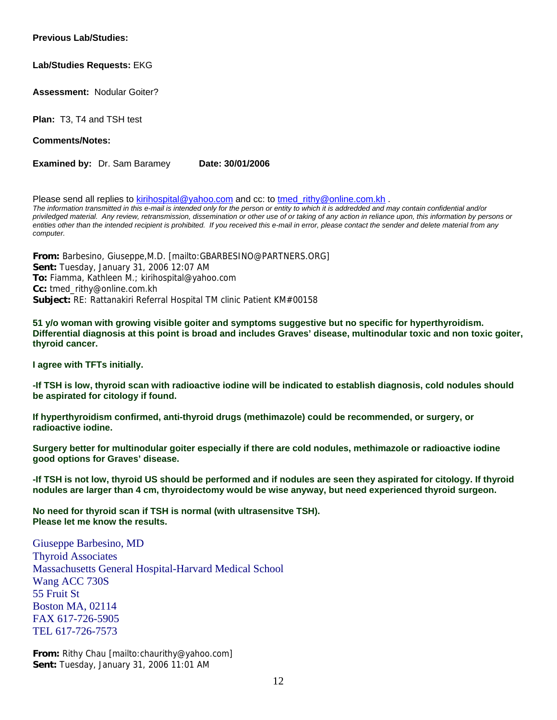#### **Previous Lab/Studies:**

### **Lab/Studies Requests:** EKG

**Assessment:** Nodular Goiter?

**Plan:** T3, T4 and TSH test

**Comments/Notes:**

**Examined by:** Dr. Sam Baramey **Date: 30/01/2006** 

Please send all replies to [kirihospital@yahoo.com](mailto:kirihospital@yahoo.com) and cc: to tmed rithy@online.com.kh . *The information transmitted in this e-mail is intended only for the person or entity to which it is addredded and may contain confidential and/or priviledged material. Any review, retransmission, dissemination or other use of or taking of any action in reliance upon, this information by persons or*  entities other than the intended recipient is prohibited. If you received this e-mail in error, please contact the sender and delete material from any *computer.*

**From:** Barbesino, Giuseppe,M.D. [mailto:GBARBESINO@PARTNERS.ORG] **Sent:** Tuesday, January 31, 2006 12:07 AM **To:** Fiamma, Kathleen M.; kirihospital@yahoo.com **Cc:** tmed\_rithy@online.com.kh **Subject:** RE: Rattanakiri Referral Hospital TM clinic Patient KM#00158

**51 y/o woman with growing visible goiter and symptoms suggestive but no specific for hyperthyroidism. Differential diagnosis at this point is broad and includes Graves' disease, multinodular toxic and non toxic goiter, thyroid cancer.** 

**I agree with TFTs initially.** 

**-If TSH is low, thyroid scan with radioactive iodine will be indicated to establish diagnosis, cold nodules should be aspirated for citology if found.** 

**If hyperthyroidism confirmed, anti-thyroid drugs (methimazole) could be recommended, or surgery, or radioactive iodine.** 

**Surgery better for multinodular goiter especially if there are cold nodules, methimazole or radioactive iodine good options for Graves' disease.** 

**-If TSH is not low, thyroid US should be performed and if nodules are seen they aspirated for citology. If thyroid nodules are larger than 4 cm, thyroidectomy would be wise anyway, but need experienced thyroid surgeon.** 

**No need for thyroid scan if TSH is normal (with ultrasensitve TSH). Please let me know the results.** 

Giuseppe Barbesino, MD Thyroid Associates Massachusetts General Hospital-Harvard Medical School Wang ACC 730S 55 Fruit St Boston MA, 02114 FAX 617-726-5905 TEL 617-726-7573

**From:** Rithy Chau [mailto:chaurithy@yahoo.com] **Sent:** Tuesday, January 31, 2006 11:01 AM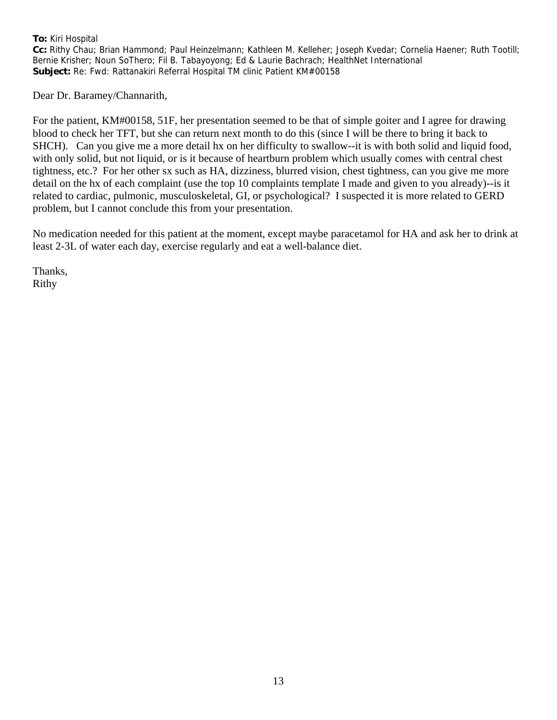### **To:** Kiri Hospital

**Cc:** Rithy Chau; Brian Hammond; Paul Heinzelmann; Kathleen M. Kelleher; Joseph Kvedar; Cornelia Haener; Ruth Tootill; Bernie Krisher; Noun SoThero; Fil B. Tabayoyong; Ed & Laurie Bachrach; HealthNet International **Subject:** Re: Fwd: Rattanakiri Referral Hospital TM clinic Patient KM#00158

Dear Dr. Baramey/Channarith,

For the patient, KM#00158, 51F, her presentation seemed to be that of simple goiter and I agree for drawing blood to check her TFT, but she can return next month to do this (since I will be there to bring it back to SHCH). Can you give me a more detail hx on her difficulty to swallow--it is with both solid and liquid food, with only solid, but not liquid, or is it because of heartburn problem which usually comes with central chest tightness, etc.? For her other sx such as HA, dizziness, blurred vision, chest tightness, can you give me more detail on the hx of each complaint (use the top 10 complaints template I made and given to you already)--is it related to cardiac, pulmonic, musculoskeletal, GI, or psychological? I suspected it is more related to GERD problem, but I cannot conclude this from your presentation.

No medication needed for this patient at the moment, except maybe paracetamol for HA and ask her to drink at least 2-3L of water each day, exercise regularly and eat a well-balance diet.

Thanks, Rithy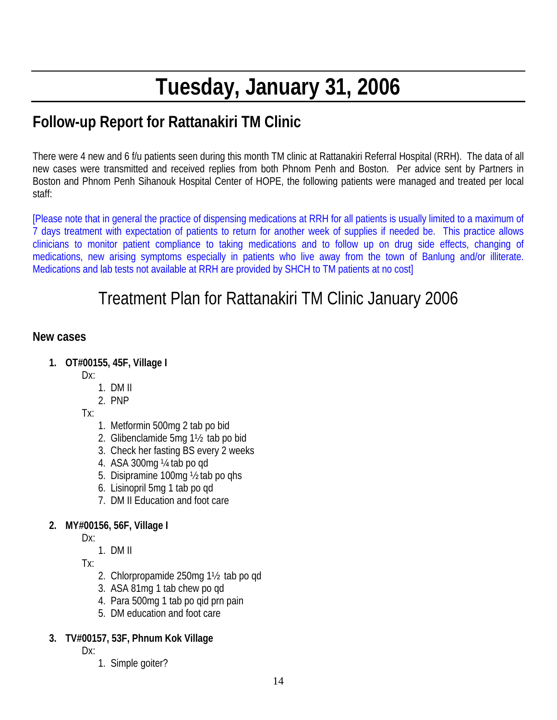# **Tuesday, January 31, 2006**

## **Follow-up Report for Rattanakiri TM Clinic**

There were 4 new and 6 f/u patients seen during this month TM clinic at Rattanakiri Referral Hospital (RRH). The data of all new cases were transmitted and received replies from both Phnom Penh and Boston. Per advice sent by Partners in Boston and Phnom Penh Sihanouk Hospital Center of HOPE, the following patients were managed and treated per local staff:

[Please note that in general the practice of dispensing medications at RRH for all patients is usually limited to a maximum of 7 days treatment with expectation of patients to return for another week of supplies if needed be. This practice allows clinicians to monitor patient compliance to taking medications and to follow up on drug side effects, changing of medications, new arising symptoms especially in patients who live away from the town of Banlung and/or illiterate. Medications and lab tests not available at RRH are provided by SHCH to TM patients at no cost]

## Treatment Plan for Rattanakiri TM Clinic January 2006

## **New cases**

- **1. OT#00155, 45F, Village I** 
	- Dx:
		- 1. DM II
		- 2. PNP
	- Tx:
		- 1. Metformin 500mg 2 tab po bid
		- 2. Glibenclamide 5mg 1½ tab po bid
		- 3. Check her fasting BS every 2 weeks
		- 4. ASA 300mg ¼ tab po qd
		- 5. Disipramine 100mg ½ tab po qhs
		- 6. Lisinopril 5mg 1 tab po qd
		- 7. DM II Education and foot care

### **2. MY#00156, 56F, Village I**

- Dx:
	- 1. DM II

Tx:

- 2. Chlorpropamide 250mg 1½ tab po qd
- 3. ASA 81mg 1 tab chew po qd
- 4. Para 500mg 1 tab po qid prn pain
- 5. DM education and foot care

### **3. TV#00157, 53F, Phnum Kok Village**

Dx:

1. Simple goiter?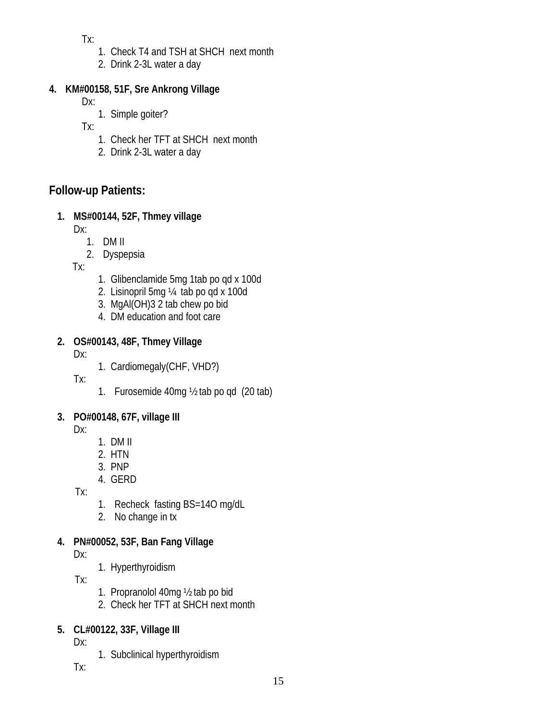Tx:

- 1. Check T4 and TSH at SHCH next month
- 2. Drink 2-3L water a day

## **4. KM#00158, 51F, Sre Ankrong Village**

Dx:

1. Simple goiter?

Tx:

- 1. Check her TFT at SHCH next month
- 2. Drink 2-3L water a day

## **Follow-up Patients:**

## **1. MS#00144, 52F, Thmey village**

Dx:

- 1. DM II
- 2. Dyspepsia

Tx:

- 1. Glibenclamide 5mg 1tab po qd x 100d
- 2. Lisinopril 5mg ¼ tab po qd x 100d
- 3. MgAl(OH)3 2 tab chew po bid
- 4. DM education and foot care

## **2. OS#00143, 48F, Thmey Village**

Dx:

1. Cardiomegaly(CHF, VHD?)

Tx:

1. Furosemide 40mg ½ tab po qd (20 tab)

## **3. PO#00148, 67F, village III**

Dx:

- 1. DM II
- 2. HTN
- 3. PNP 4. GERD

Tx:

- 1. Recheck fasting BS=14O mg/dL
- 2. No change in tx

## **4. PN#00052, 53F, Ban Fang Village**

Dx:

1. Hyperthyroidism

 $Tx:$ 

- 1. Propranolol 40mg ½ tab po bid
- 2. Check her TFT at SHCH next month

## **5. CL#00122, 33F, Village III**

Dx:

1. Subclinical hyperthyroidism

Tx: